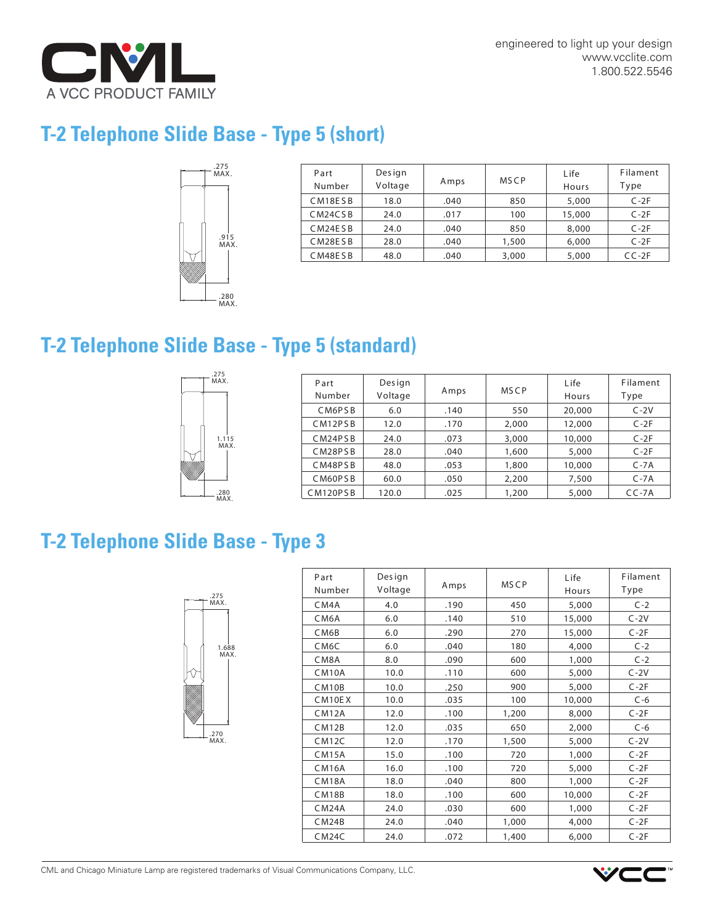

## **T-2 Telephone Slide Base - Type 5 (short)**



| Part<br>Number                    | Design<br>Voltage | Amps | <b>MSCP</b> | Life<br>Hours | Filament<br>Type |
|-----------------------------------|-------------------|------|-------------|---------------|------------------|
| CM18ESB                           | 18.0              | .040 | 850         | 5,000         | $C-2F$           |
| CM <sub>24</sub> C <sub>S</sub> B | 24.0              | .017 | 100         | 15,000        | $C-2F$           |
| CM24ESB                           | 24.0              | .040 | 850         | 8,000         | $C-2F$           |
| CM28ESB                           | 28.0              | .040 | 1,500       | 6,000         | $C-2F$           |
| CM48ESB                           | 48.0              | .040 | 3,000       | 5,000         | $CC-2F$          |

## **T-2 Telephone Slide Base - Type 5 (standard)**



| 213<br>MAX.   | Part<br>Number | Design<br>Voltage | Amps | <b>MSCP</b> | L <sub>ife</sub><br>Hours | Filament<br>Type |
|---------------|----------------|-------------------|------|-------------|---------------------------|------------------|
| 1.115<br>MAX. | CM6PSB         | 6.0               | .140 | 550         | 20,000                    | $C-2V$           |
|               | CM12PSB        | 12.0              | .170 | 2,000       | 12,000                    | $C-2F$           |
|               | CM24PSB        | 24.0              | .073 | 3,000       | 10,000                    | $C-2F$           |
|               | CM28PSB        | 28.0              | .040 | 1,600       | 5,000                     | $C-2F$           |
|               | CM48PSB        | 48.0              | .053 | 1,800       | 10,000                    | $C - 7A$         |
|               | CM60PSB        | 60.0              | .050 | 2,200       | 7,500                     | $C - 7A$         |
| .280<br>NAN   | CM120PSB       | 120.0             | .025 | 1,200       | 5,000                     | $CC-7A$          |

## **T-2 Telephone Slide Base - Type 3**



| Part               | Design  |      |             | Life   | Filament |
|--------------------|---------|------|-------------|--------|----------|
| Number             | Voltage | Amps | <b>MSCP</b> | Hours  | Type     |
| CM4A               | 4.0     | .190 | 450         | 5,000  | $C-2$    |
| CM <sub>6</sub> A  | 6.0     | .140 | 510         | 15,000 | $C-2V$   |
| CM6B               | 6.0     | .290 | 270         | 15,000 | $C-2F$   |
| CM <sub>6</sub> C  | 6.0     | .040 | 180         | 4,000  | $C-2$    |
| CM8A               | 8.0     | .090 | 600         | 1,000  | $C-2$    |
| CM <sub>10</sub> A | 10.0    | .110 | 600         | 5,000  | $C-2V$   |
| CM <sub>10</sub> B | 10.0    | .250 | 900         | 5,000  | $C-2F$   |
| CM10EX             | 10.0    | .035 | 100         | 10,000 | $C - 6$  |
| CM12A              | 12.0    | .100 | 1,200       | 8,000  | $C-2F$   |
| CM12B              | 12.0    | .035 | 650         | 2,000  | $C - 6$  |
| CM12C              | 12.0    | .170 | 1,500       | 5,000  | $C-2V$   |
| CM15A              | 15.0    | .100 | 720         | 1,000  | $C-2F$   |
| <b>CM16A</b>       | 16.0    | .100 | 720         | 5,000  | $C-2F$   |
| CM18A              | 18.0    | .040 | 800         | 1,000  | $C-2F$   |
| <b>CM18B</b>       | 18.0    | .100 | 600         | 10,000 | $C-2F$   |
| CM24A              | 24.0    | .030 | 600         | 1,000  | $C-2F$   |
| CM24B              | 24.0    | .040 | 1,000       | 4,000  | $C-2F$   |
| CM24C              | 24.0    | .072 | 1,400       | 6,000  | $C-2F$   |